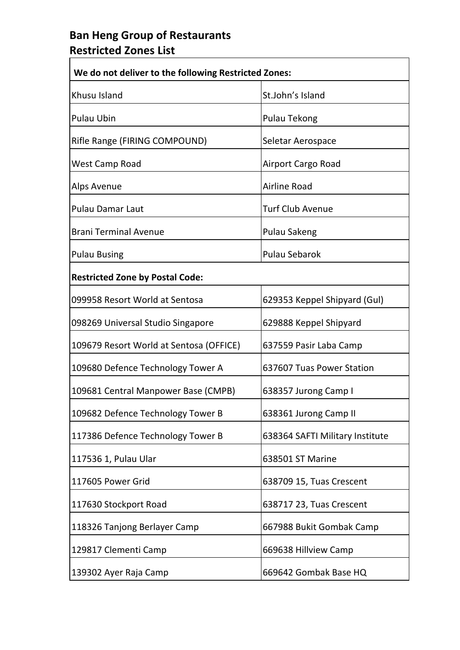## **Ban Heng Group of Restaurants Restricted Zones List**

| We do not deliver to the following Restricted Zones: |                                 |  |
|------------------------------------------------------|---------------------------------|--|
| Khusu Island                                         | St.John's Island                |  |
| <b>Pulau Ubin</b>                                    | Pulau Tekong                    |  |
| Rifle Range (FIRING COMPOUND)                        | Seletar Aerospace               |  |
| <b>West Camp Road</b>                                | Airport Cargo Road              |  |
| Alps Avenue                                          | <b>Airline Road</b>             |  |
| <b>Pulau Damar Laut</b>                              | <b>Turf Club Avenue</b>         |  |
| <b>Brani Terminal Avenue</b>                         | <b>Pulau Sakeng</b>             |  |
| <b>Pulau Busing</b>                                  | <b>Pulau Sebarok</b>            |  |
| <b>Restricted Zone by Postal Code:</b>               |                                 |  |
| 099958 Resort World at Sentosa                       | 629353 Keppel Shipyard (Gul)    |  |
| 098269 Universal Studio Singapore                    | 629888 Keppel Shipyard          |  |
| 109679 Resort World at Sentosa (OFFICE)              | 637559 Pasir Laba Camp          |  |
| 109680 Defence Technology Tower A                    | 637607 Tuas Power Station       |  |
| 109681 Central Manpower Base (CMPB)                  | 638357 Jurong Camp I            |  |
| 109682 Defence Technology Tower B                    | 638361 Jurong Camp II           |  |
| 117386 Defence Technology Tower B                    | 638364 SAFTI Military Institute |  |
| 117536 1, Pulau Ular                                 | 638501 ST Marine                |  |
| 117605 Power Grid                                    | 638709 15, Tuas Crescent        |  |
| 117630 Stockport Road                                | 638717 23, Tuas Crescent        |  |
| 118326 Tanjong Berlayer Camp                         | 667988 Bukit Gombak Camp        |  |
| 129817 Clementi Camp                                 | 669638 Hillview Camp            |  |
| 139302 Ayer Raja Camp                                | 669642 Gombak Base HQ           |  |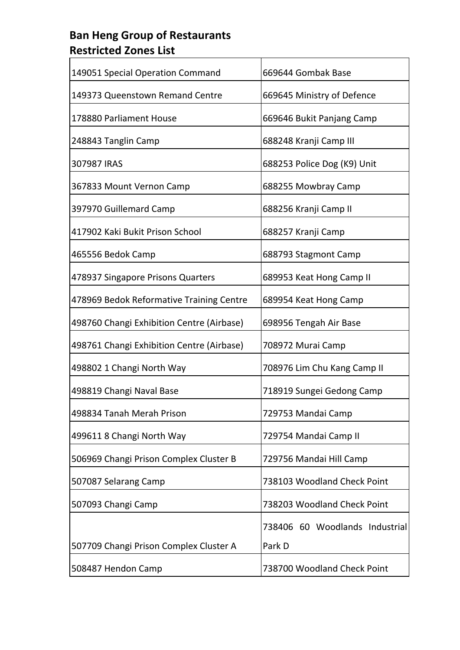## **Ban Heng Group of Restaurants Restricted Zones List**

| 149051 Special Operation Command          | 669644 Gombak Base             |
|-------------------------------------------|--------------------------------|
| 149373 Queenstown Remand Centre           | 669645 Ministry of Defence     |
| 178880 Parliament House                   | 669646 Bukit Panjang Camp      |
| 248843 Tanglin Camp                       | 688248 Kranji Camp III         |
| 307987 IRAS                               | 688253 Police Dog (K9) Unit    |
| 367833 Mount Vernon Camp                  | 688255 Mowbray Camp            |
| 397970 Guillemard Camp                    | 688256 Kranji Camp II          |
| 417902 Kaki Bukit Prison School           | 688257 Kranji Camp             |
| 465556 Bedok Camp                         | 688793 Stagmont Camp           |
| 478937 Singapore Prisons Quarters         | 689953 Keat Hong Camp II       |
| 478969 Bedok Reformative Training Centre  | 689954 Keat Hong Camp          |
| 498760 Changi Exhibition Centre (Airbase) | 698956 Tengah Air Base         |
| 498761 Changi Exhibition Centre (Airbase) | 708972 Murai Camp              |
| 498802 1 Changi North Way                 | 708976 Lim Chu Kang Camp II    |
| 498819 Changi Naval Base                  | 718919 Sungei Gedong Camp      |
| 498834 Tanah Merah Prison                 | 729753 Mandai Camp             |
| 499611 8 Changi North Way                 | 729754 Mandai Camp II          |
| 506969 Changi Prison Complex Cluster B    | 729756 Mandai Hill Camp        |
| 507087 Selarang Camp                      | 738103 Woodland Check Point    |
| 507093 Changi Camp                        | 738203 Woodland Check Point    |
|                                           | 738406 60 Woodlands Industrial |
| 507709 Changi Prison Complex Cluster A    | Park D                         |
| 508487 Hendon Camp                        | 738700 Woodland Check Point    |